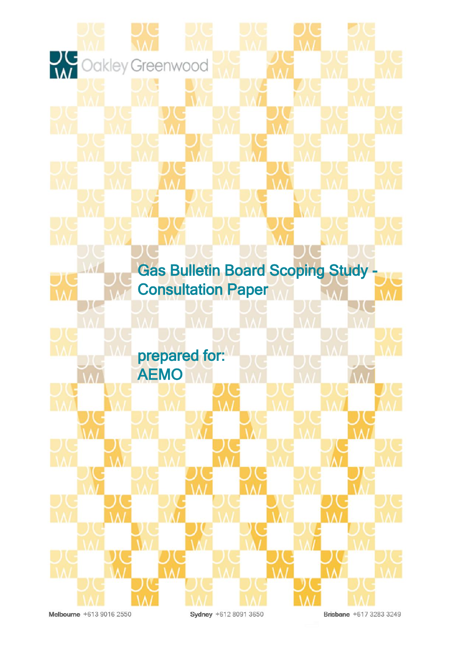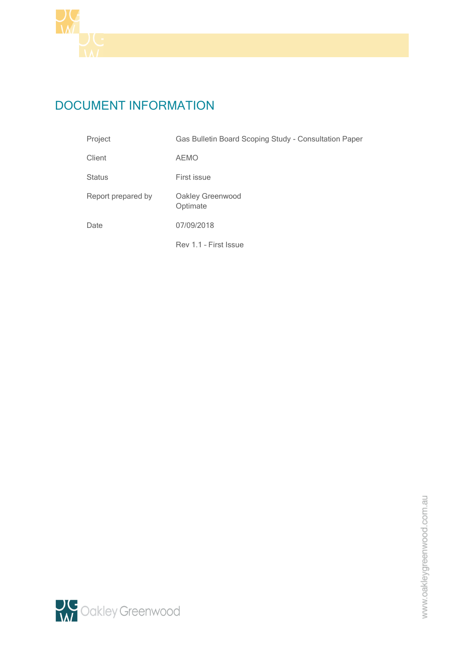

# DOCUMENT INFORMATION

| Project            | Gas Bulletin Board Scoping Study - Consultation Paper |  |
|--------------------|-------------------------------------------------------|--|
| Client             | <b>AEMO</b>                                           |  |
| <b>Status</b>      | First issue                                           |  |
| Report prepared by | Oakley Greenwood<br>Optimate                          |  |
| Date               | 07/09/2018                                            |  |
|                    | Rev 1.1 - First Issue                                 |  |

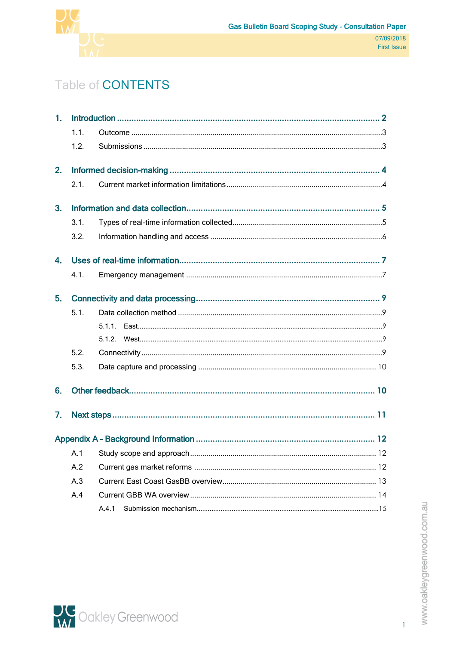

# Table of **CONTENTS**

| 1. |                |        |  |  |
|----|----------------|--------|--|--|
|    | 1.1.           |        |  |  |
|    | 1.2.           |        |  |  |
| 2. |                |        |  |  |
|    | 2.1.           |        |  |  |
| 3. |                |        |  |  |
|    | 3.1.           |        |  |  |
|    | 3.2.           |        |  |  |
| 4. |                |        |  |  |
|    | 4.1.           |        |  |  |
| 5. |                |        |  |  |
|    | 5.1.           |        |  |  |
|    |                | 5.1.1. |  |  |
|    |                |        |  |  |
|    | 5.2.           |        |  |  |
|    | 5.3.           |        |  |  |
| 6. |                |        |  |  |
| 7. |                |        |  |  |
|    |                |        |  |  |
|    | A <sub>1</sub> |        |  |  |
|    | A.2            |        |  |  |
|    | A.3            |        |  |  |
|    | A.4            |        |  |  |
|    |                | A.4.1  |  |  |



 $\overline{1}$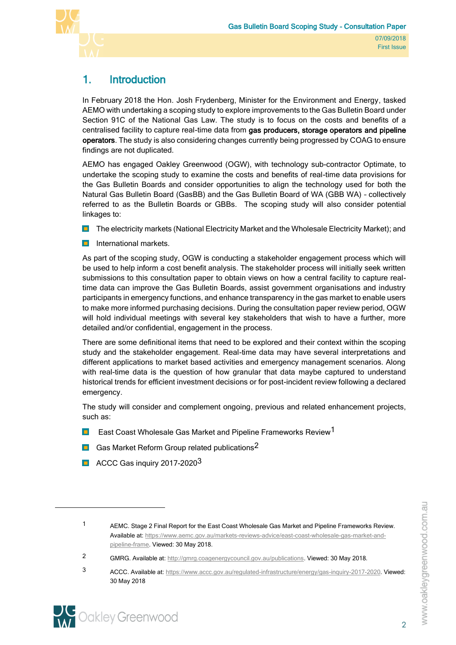

# <span id="page-3-0"></span>1. Introduction

In February 2018 the Hon. Josh Frydenberg, Minister for the Environment and Energy, tasked AEMO with undertaking a scoping study to explore improvements to the Gas Bulletin Board under Section 91C of the National Gas Law. The study is to focus on the costs and benefits of a centralised facility to capture real-time data from gas producers, storage operators and pipeline operators. The study is also considering changes currently being progressed by COAG to ensure findings are not duplicated.

AEMO has engaged Oakley Greenwood (OGW), with technology sub-contractor Optimate, to undertake the scoping study to examine the costs and benefits of real-time data provisions for the Gas Bulletin Boards and consider opportunities to align the technology used for both the Natural Gas Bulletin Board (GasBB) and the Gas Bulletin Board of WA (GBB WA) – collectively referred to as the Bulletin Boards or GBBs. The scoping study will also consider potential linkages to:

- **The electricity markets (National Electricity Market and the Wholesale Electricity Market); and**
- **International markets.**

As part of the scoping study, OGW is conducting a stakeholder engagement process which will be used to help inform a cost benefit analysis. The stakeholder process will initially seek written submissions to this consultation paper to obtain views on how a central facility to capture realtime data can improve the Gas Bulletin Boards, assist government organisations and industry participants in emergency functions, and enhance transparency in the gas market to enable users to make more informed purchasing decisions. During the consultation paper review period, OGW will hold individual meetings with several key stakeholders that wish to have a further, more detailed and/or confidential, engagement in the process.

There are some definitional items that need to be explored and their context within the scoping study and the stakeholder engagement. Real-time data may have several interpretations and different applications to market based activities and emergency management scenarios. Along with real-time data is the question of how granular that data maybe captured to understand historical trends for efficient investment decisions or for post-incident review following a declared emergency.

The study will consider and complement ongoing, previous and related enhancement projects, such as:

- East Coast Wholesale Gas Market and Pipeline Frameworks Review1  $\blacksquare$
- Gas Market Reform Group related publications<sup>2</sup>
- ACCC Gas inquiry 2017-2020<sup>3</sup>

2 GMRG. Available at[: http://gmrg.coagenergycouncil.gov.au/publications.](http://gmrg.coagenergycouncil.gov.au/publications) Viewed: 30 May 2018.

3 ACCC. Available at[: https://www.accc.gov.au/regulated-infrastructure/energy/gas-inquiry-2017-2020.](https://www.accc.gov.au/regulated-infrastructure/energy/gas-inquiry-2017-2020) Viewed: 30 May 2018

www.oakleygreenwood.com.au



 $\overline{a}$ 

<sup>1</sup> AEMC. Stage 2 Final Report for the East Coast Wholesale Gas Market and Pipeline Frameworks Review. Available at[: https://www.aemc.gov.au/markets-reviews-advice/east-coast-wholesale-gas-market-and](https://www.aemc.gov.au/markets-reviews-advice/east-coast-wholesale-gas-market-and-pipeline-frame)[pipeline-frame.](https://www.aemc.gov.au/markets-reviews-advice/east-coast-wholesale-gas-market-and-pipeline-frame) Viewed: 30 May 2018.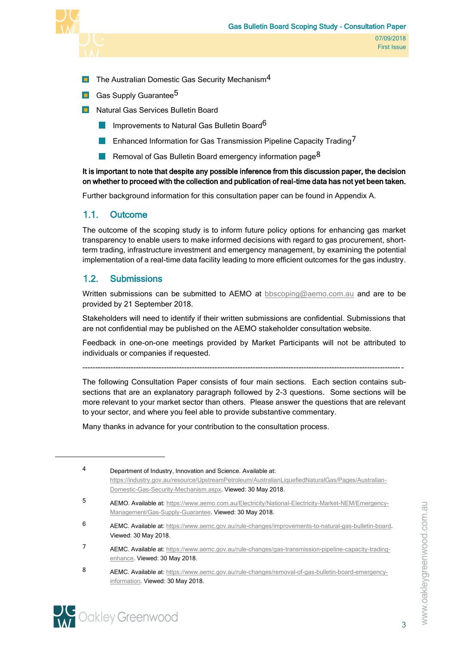

- $\blacksquare$  The Australian Domestic Gas Security Mechanism<sup>4</sup>
- **Gas Supply Guarantee<sup>5</sup>**
- **Natural Gas Services Bulletin Board** 
	- Improvements to Natural Gas Bulletin Board<sup>6</sup> **Tale**
	- Enhanced Information for Gas Transmission Pipeline Capacity Trading<sup>7</sup>
	- Removal of Gas Bulletin Board emergency information page<sup>8</sup>

It is important to note that despite any possible inference from this discussion paper, the decision on whether to proceed with the collection and publication of real-time data has not yet been taken.

Further background information for this consultation paper can be found in Appendix A.

### <span id="page-4-0"></span>1.1. Outcome

The outcome of the scoping study is to inform future policy options for enhancing gas market transparency to enable users to make informed decisions with regard to gas procurement, shortterm trading, infrastructure investment and emergency management, by examining the potential implementation of a real-time data facility leading to more efficient outcomes for the gas industry.

### <span id="page-4-1"></span>1.2. Submissions

Written submissions can be submitted to AEMO at [bbscoping@aemo.com.au](mailto:bbscoping@aemo.com.au) and are to be provided by 21 September 2018.

Stakeholders will need to identify if their written submissions are confidential. Submissions that are not confidential may be published on the AEMO stakeholder consultation website.

Feedback in one-on-one meetings provided by Market Participants will not be attributed to individuals or companies if requested.

------------------------------------------------------------------------------------------------------------------------------

The following Consultation Paper consists of four main sections. Each section contains subsections that are an explanatory paragraph followed by 2-3 questions. Some sections will be more relevant to your market sector than others. Please answer the questions that are relevant to your sector, and where you feel able to provide substantive commentary.

Many thanks in advance for your contribution to the consultation process.

- 6 AEMC. Available at: [https://www.aemc.gov.au/rule-changes/improvements-to-natural-gas-bulletin-board.](https://www.aemc.gov.au/rule-changes/improvements-to-natural-gas-bulletin-board) Viewed: 30 May 2018.
- 7 AEMC. Available at: [https://www.aemc.gov.au/rule-changes/gas-transmission-pipeline-capacity-trading](https://www.aemc.gov.au/rule-changes/gas-transmission-pipeline-capacity-trading-enhance)[enhance.](https://www.aemc.gov.au/rule-changes/gas-transmission-pipeline-capacity-trading-enhance) Viewed: 30 May 2018.
- 8 AEMC. Available at: [https://www.aemc.gov.au/rule-changes/removal-of-gas-bulletin-board-emergency](https://www.aemc.gov.au/rule-changes/removal-of-gas-bulletin-board-emergency-informatio)[information](https://www.aemc.gov.au/rule-changes/removal-of-gas-bulletin-board-emergency-informatio). Viewed: 30 May 2018.



 $\overline{a}$ 

<sup>4</sup> Department of Industry, Innovation and Science. Available at: [https://industry.gov.au/resource/UpstreamPetroleum/AustralianLiquefiedNaturalGas/Pages/Australian-](https://industry.gov.au/resource/UpstreamPetroleum/AustralianLiquefiedNaturalGas/Pages/Australian-Domestic-Gas-Security-Mechanism.aspx)[Domestic-Gas-Security-Mechanism.aspx.](https://industry.gov.au/resource/UpstreamPetroleum/AustralianLiquefiedNaturalGas/Pages/Australian-Domestic-Gas-Security-Mechanism.aspx) Viewed: 30 May 2018. 5 AEMO. Available at[: https://www.aemo.com.au/Electricity/National-Electricity-Market-NEM/Emergency-](https://www.aemo.com.au/Electricity/National-Electricity-Market-NEM/Emergency-Management/Gas-Supply-Guarantee)[Management/Gas-Supply-Guarantee.](https://www.aemo.com.au/Electricity/National-Electricity-Market-NEM/Emergency-Management/Gas-Supply-Guarantee) Viewed: 30 May 2018.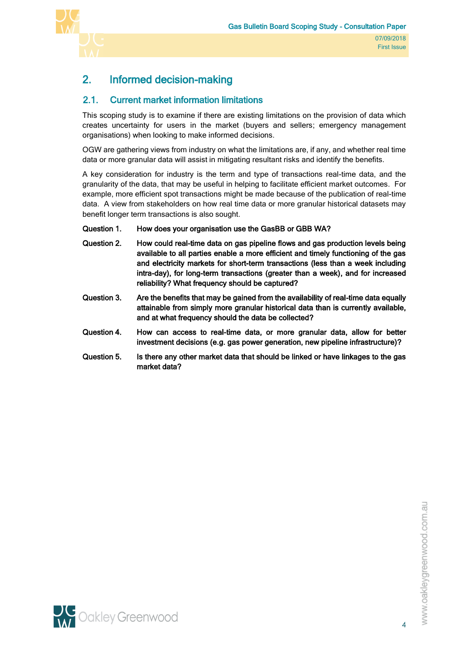

# <span id="page-5-0"></span>2. Informed decision-making

## <span id="page-5-1"></span>2.1. Current market information limitations

This scoping study is to examine if there are existing limitations on the provision of data which creates uncertainty for users in the market (buyers and sellers; emergency management organisations) when looking to make informed decisions.

OGW are gathering views from industry on what the limitations are, if any, and whether real time data or more granular data will assist in mitigating resultant risks and identify the benefits.

A key consideration for industry is the term and type of transactions real-time data, and the granularity of the data, that may be useful in helping to facilitate efficient market outcomes. For example, more efficient spot transactions might be made because of the publication of real-time data. A view from stakeholders on how real time data or more granular historical datasets may benefit longer term transactions is also sought.

#### Question 1. How does your organisation use the GasBB or GBB WA?

- Question 2. How could real-time data on gas pipeline flows and gas production levels being available to all parties enable a more efficient and timely functioning of the gas and electricity markets for short-term transactions (less than a week including intra-day), for long-term transactions (greater than a week), and for increased reliability? What frequency should be captured?
- Question 3. Are the benefits that may be gained from the availability of real-time data equally attainable from simply more granular historical data than is currently available, and at what frequency should the data be collected?
- Question 4. How can access to real-time data, or more granular data, allow for better investment decisions (e.g. gas power generation, new pipeline infrastructure)?
- Question 5. Is there any other market data that should be linked or have linkages to the gas market data?

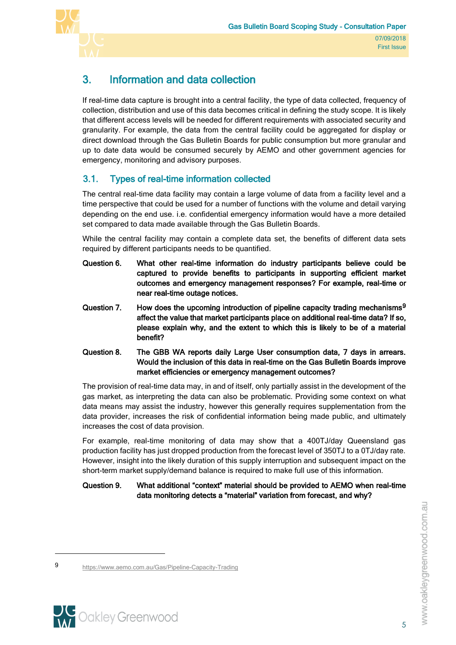

# <span id="page-6-0"></span>3. Information and data collection

If real-time data capture is brought into a central facility, the type of data collected, frequency of collection, distribution and use of this data becomes critical in defining the study scope. It is likely that different access levels will be needed for different requirements with associated security and granularity. For example, the data from the central facility could be aggregated for display or direct download through the Gas Bulletin Boards for public consumption but more granular and up to date data would be consumed securely by AEMO and other government agencies for emergency, monitoring and advisory purposes.

## <span id="page-6-1"></span>3.1. Types of real-time information collected

The central real-time data facility may contain a large volume of data from a facility level and a time perspective that could be used for a number of functions with the volume and detail varying depending on the end use. i.e. confidential emergency information would have a more detailed set compared to data made available through the Gas Bulletin Boards.

While the central facility may contain a complete data set, the benefits of different data sets required by different participants needs to be quantified.

- Question 6. What other real-time information do industry participants believe could be captured to provide benefits to participants in supporting efficient market outcomes and emergency management responses? For example, real-time or near real-time outage notices.
- Question 7. How does the upcoming introduction of pipeline capacity trading mechanisms<sup>9</sup> affect the value that market participants place on additional real-time data? If so, please explain why, and the extent to which this is likely to be of a material benefit?
- Question 8. The GBB WA reports daily Large User consumption data, 7 days in arrears. Would the inclusion of this data in real-time on the Gas Bulletin Boards improve market efficiencies or emergency management outcomes?

The provision of real-time data may, in and of itself, only partially assist in the development of the gas market, as interpreting the data can also be problematic. Providing some context on what data means may assist the industry, however this generally requires supplementation from the data provider, increases the risk of confidential information being made public, and ultimately increases the cost of data provision.

For example, real-time monitoring of data may show that a 400TJ/day Queensland gas production facility has just dropped production from the forecast level of 350TJ to a 0TJ/day rate. However, insight into the likely duration of this supply interruption and subsequent impact on the short-term market supply/demand balance is required to make full use of this information.

#### Question 9. What additional "context" material should be provided to AEMO when real-time data monitoring detects a "material" variation from forecast, and why?

<sup>9</sup> <https://www.aemo.com.au/Gas/Pipeline-Capacity-Trading>



 $\overline{a}$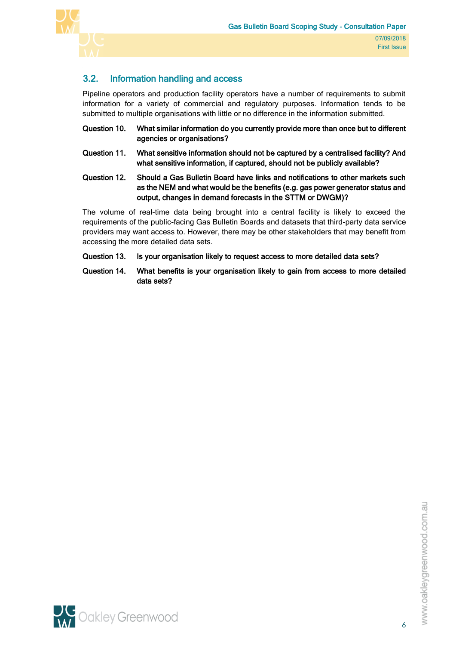



## <span id="page-7-0"></span>3.2. Information handling and access

Pipeline operators and production facility operators have a number of requirements to submit information for a variety of commercial and regulatory purposes. Information tends to be submitted to multiple organisations with little or no difference in the information submitted.

- Question 10. What similar information do you currently provide more than once but to different agencies or organisations?
- Question 11. What sensitive information should not be captured by a centralised facility? And what sensitive information, if captured, should not be publicly available?
- Question 12. Should a Gas Bulletin Board have links and notifications to other markets such as the NEM and what would be the benefits (e.g. gas power generator status and output, changes in demand forecasts in the STTM or DWGM)?

The volume of real-time data being brought into a central facility is likely to exceed the requirements of the public-facing Gas Bulletin Boards and datasets that third-party data service providers may want access to. However, there may be other stakeholders that may benefit from accessing the more detailed data sets.

- Question 13. Is your organisation likely to request access to more detailed data sets?
- Question 14. What benefits is your organisation likely to gain from access to more detailed data sets?

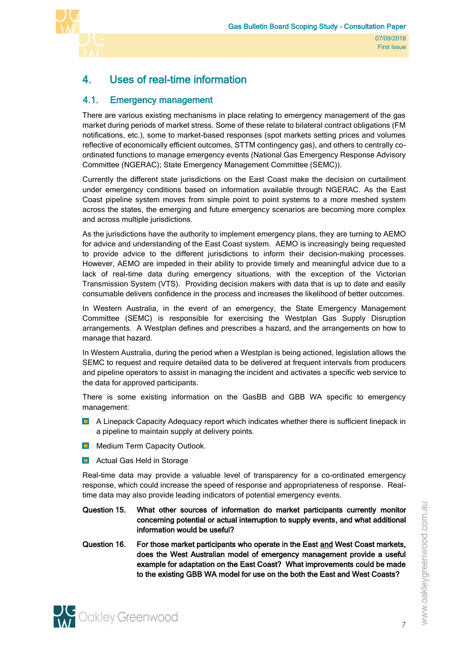

# <span id="page-8-0"></span>4. Uses of real-time information

## <span id="page-8-1"></span>4.1. Emergency management

There are various existing mechanisms in place relating to emergency management of the gas market during periods of market stress. Some of these relate to bilateral contract obligations (FM notifications, etc.), some to market-based responses (spot markets setting prices and volumes reflective of economically efficient outcomes, STTM contingency gas), and others to centrally coordinated functions to manage emergency events (National Gas Emergency Response Advisory Committee (NGERAC); State Emergency Management Committee (SEMC)).

Currently the different state jurisdictions on the East Coast make the decision on curtailment under emergency conditions based on information available through NGERAC. As the East Coast pipeline system moves from simple point to point systems to a more meshed system across the states, the emerging and future emergency scenarios are becoming more complex and across multiple jurisdictions.

As the jurisdictions have the authority to implement emergency plans, they are turning to AEMO for advice and understanding of the East Coast system. AEMO is increasingly being requested to provide advice to the different jurisdictions to inform their decision-making processes. However, AEMO are impeded in their ability to provide timely and meaningful advice due to a lack of real-time data during emergency situations, with the exception of the Victorian Transmission System (VTS). Providing decision makers with data that is up to date and easily consumable delivers confidence in the process and increases the likelihood of better outcomes.

In Western Australia, in the event of an emergency, the State Emergency Management Committee (SEMC) is responsible for exercising the Westplan Gas Supply Disruption arrangements. A Westplan defines and prescribes a hazard, and the arrangements on how to manage that hazard.

In Western Australia, during the period when a Westplan is being actioned, legislation allows the SEMC to request and require detailed data to be delivered at frequent intervals from producers and pipeline operators to assist in managing the incident and activates a specific web service to the data for approved participants.

There is some existing information on the GasBB and GBB WA specific to emergency management:

- **A Linepack Capacity Adequacy report which indicates whether there is sufficient linepack in** a pipeline to maintain supply at delivery points.
- **Nedium Term Capacity Outlook.**
- **L** Actual Gas Held in Storage

Real-time data may provide a valuable level of transparency for a co-ordinated emergency response, which could increase the speed of response and appropriateness of response. Realtime data may also provide leading indicators of potential emergency events.

- Question 15. What other sources of information do market participants currently monitor concerning potential or actual interruption to supply events, and what additional information would be useful?
- Question 16. For those market participants who operate in the East and West Coast markets, does the West Australian model of emergency management provide a useful example for adaptation on the East Coast? What improvements could be made to the existing GBB WA model for use on the both the East and West Coasts?

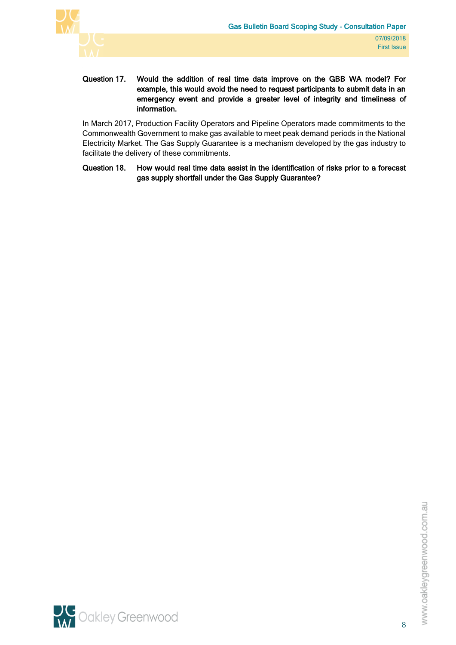

#### Question 17. Would the addition of real time data improve on the GBB WA model? For example, this would avoid the need to request participants to submit data in an emergency event and provide a greater level of integrity and timeliness of information.

In March 2017, Production Facility Operators and Pipeline Operators made commitments to the Commonwealth Government to make gas available to meet peak demand periods in the National Electricity Market. The Gas Supply Guarantee is a mechanism developed by the gas industry to facilitate the delivery of these commitments.

Question 18. How would real time data assist in the identification of risks prior to a forecast gas supply shortfall under the Gas Supply Guarantee?

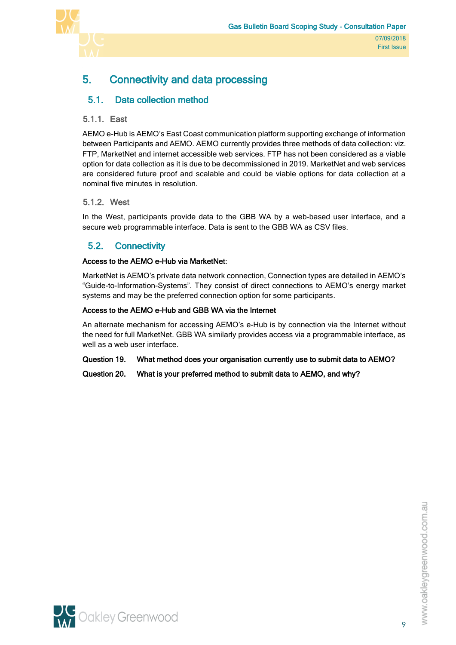

# <span id="page-10-0"></span>5. Connectivity and data processing

# <span id="page-10-1"></span>5.1. Data collection method

#### <span id="page-10-2"></span>5.1.1. East

AEMO e-Hub is AEMO's East Coast communication platform supporting exchange of information between Participants and AEMO. AEMO currently provides three methods of data collection: viz. FTP, MarketNet and internet accessible web services. FTP has not been considered as a viable option for data collection as it is due to be decommissioned in 2019. MarketNet and web services are considered future proof and scalable and could be viable options for data collection at a nominal five minutes in resolution.

#### <span id="page-10-3"></span>5.1.2. West

In the West, participants provide data to the GBB WA by a web-based user interface, and a secure web programmable interface. Data is sent to the GBB WA as CSV files.

### <span id="page-10-4"></span>5.2. Connectivity

#### Access to the AEMO e-Hub via MarketNet:

MarketNet is AEMO's private data network connection, Connection types are detailed in AEMO's "Guide-to-Information-Systems". They consist of direct connections to AEMO's energy market systems and may be the preferred connection option for some participants.

#### Access to the AEMO e-Hub and GBB WA via the Internet

An alternate mechanism for accessing AEMO's e-Hub is by connection via the Internet without the need for full MarketNet. GBB WA similarly provides access via a programmable interface, as well as a web user interface.

#### Question 19. What method does your organisation currently use to submit data to AEMO?

Question 20. What is your preferred method to submit data to AEMO, and why?

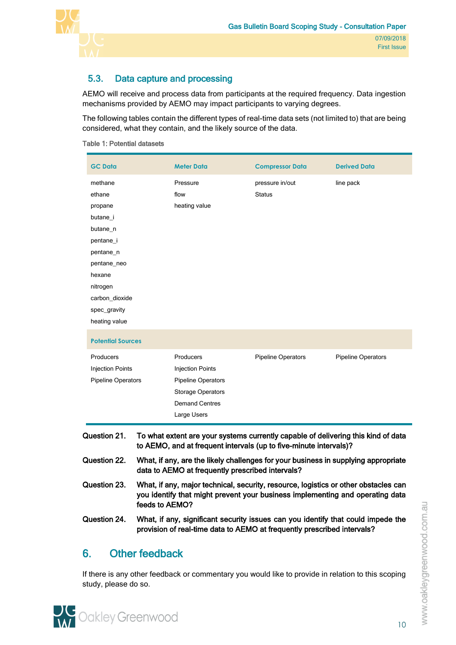

# <span id="page-11-0"></span>5.3. Data capture and processing

AEMO will receive and process data from participants at the required frequency. Data ingestion mechanisms provided by AEMO may impact participants to varying degrees.

The following tables contain the different types of real-time data sets (not limited to) that are being considered, what they contain, and the likely source of the data.

| Table 1: Potential datasets |  |
|-----------------------------|--|
|-----------------------------|--|

| <b>GC Data</b>                                                                                                                                                                                         | <b>Meter Data</b>                                                                                                                                           | <b>Compressor Data</b>    | <b>Derived Data</b>       |  |  |  |
|--------------------------------------------------------------------------------------------------------------------------------------------------------------------------------------------------------|-------------------------------------------------------------------------------------------------------------------------------------------------------------|---------------------------|---------------------------|--|--|--|
| methane                                                                                                                                                                                                | Pressure                                                                                                                                                    | pressure in/out           | line pack                 |  |  |  |
| ethane                                                                                                                                                                                                 | flow                                                                                                                                                        | <b>Status</b>             |                           |  |  |  |
| propane                                                                                                                                                                                                | heating value                                                                                                                                               |                           |                           |  |  |  |
| butane i                                                                                                                                                                                               |                                                                                                                                                             |                           |                           |  |  |  |
| butane n                                                                                                                                                                                               |                                                                                                                                                             |                           |                           |  |  |  |
| pentane_i                                                                                                                                                                                              |                                                                                                                                                             |                           |                           |  |  |  |
| pentane_n                                                                                                                                                                                              |                                                                                                                                                             |                           |                           |  |  |  |
| pentane_neo                                                                                                                                                                                            |                                                                                                                                                             |                           |                           |  |  |  |
| hexane                                                                                                                                                                                                 |                                                                                                                                                             |                           |                           |  |  |  |
| nitrogen                                                                                                                                                                                               |                                                                                                                                                             |                           |                           |  |  |  |
| carbon_dioxide                                                                                                                                                                                         |                                                                                                                                                             |                           |                           |  |  |  |
| spec_gravity                                                                                                                                                                                           |                                                                                                                                                             |                           |                           |  |  |  |
| heating value                                                                                                                                                                                          |                                                                                                                                                             |                           |                           |  |  |  |
| <b>Potential Sources</b>                                                                                                                                                                               |                                                                                                                                                             |                           |                           |  |  |  |
| Producers                                                                                                                                                                                              | Producers                                                                                                                                                   | <b>Pipeline Operators</b> | <b>Pipeline Operators</b> |  |  |  |
| <b>Injection Points</b>                                                                                                                                                                                | <b>Injection Points</b>                                                                                                                                     |                           |                           |  |  |  |
| <b>Pipeline Operators</b>                                                                                                                                                                              | <b>Pipeline Operators</b>                                                                                                                                   |                           |                           |  |  |  |
|                                                                                                                                                                                                        | <b>Storage Operators</b>                                                                                                                                    |                           |                           |  |  |  |
|                                                                                                                                                                                                        | <b>Demand Centres</b>                                                                                                                                       |                           |                           |  |  |  |
|                                                                                                                                                                                                        | Large Users                                                                                                                                                 |                           |                           |  |  |  |
| Question 21.<br>To what extent are your systems currently capable of delivering this kind of data<br>to AEMO, and at frequent intervals (up to five-minute intervals)?                                 |                                                                                                                                                             |                           |                           |  |  |  |
| Question 22.<br>What, if any, are the likely challenges for your business in supplying appropriate<br>data to AEMO at frequently prescribed intervals?                                                 |                                                                                                                                                             |                           |                           |  |  |  |
| Question 23.<br>What, if any, major technical, security, resource, logistics or other obstacles can<br>you identify that might prevent your business implementing and operating data<br>feeds to AEMO? |                                                                                                                                                             |                           |                           |  |  |  |
| Question 24.                                                                                                                                                                                           | What, if any, significant security issues can you identify that could impede the<br>provision of real-time data to AEMO at frequently prescribed intervals? |                           |                           |  |  |  |

# <span id="page-11-1"></span>6. Other feedback

If there is any other feedback or commentary you would like to provide in relation to this scoping study, please do so.

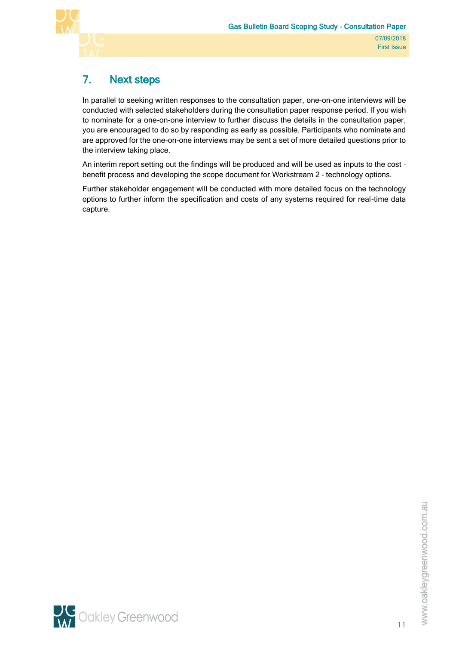

# <span id="page-12-0"></span>7. Next steps

In parallel to seeking written responses to the consultation paper, one-on-one interviews will be conducted with selected stakeholders during the consultation paper response period. If you wish to nominate for a one-on-one interview to further discuss the details in the consultation paper, you are encouraged to do so by responding as early as possible. Participants who nominate and are approved for the one-on-one interviews may be sent a set of more detailed questions prior to the interview taking place.

An interim report setting out the findings will be produced and will be used as inputs to the cost – benefit process and developing the scope document for Workstream 2 – technology options.

Further stakeholder engagement will be conducted with more detailed focus on the technology options to further inform the specification and costs of any systems required for real-time data capture.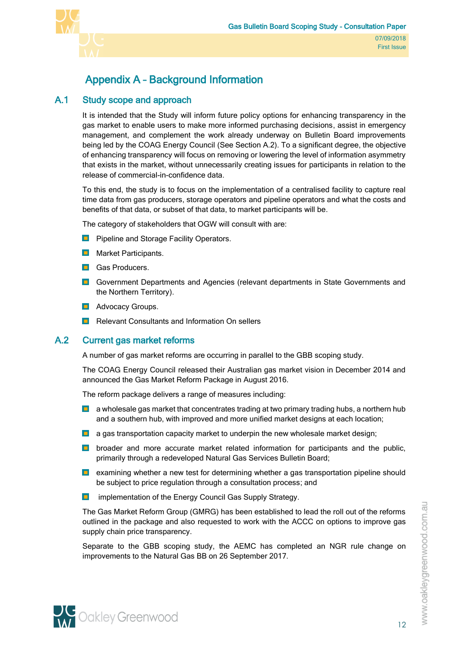



# <span id="page-13-0"></span>Appendix A – Background Information

### A.1 Study scope and approach

<span id="page-13-1"></span>It is intended that the Study will inform future policy options for enhancing transparency in the gas market to enable users to make more informed purchasing decisions, assist in emergency management, and complement the work already underway on Bulletin Board improvements being led by the COAG Energy Council (See Section [A.2\)](#page-13-2). To a significant degree, the objective of enhancing transparency will focus on removing or lowering the level of information asymmetry that exists in the market, without unnecessarily creating issues for participants in relation to the release of commercial-in-confidence data.

To this end, the study is to focus on the implementation of a centralised facility to capture real time data from gas producers, storage operators and pipeline operators and what the costs and benefits of that data, or subset of that data, to market participants will be.

The category of stakeholders that OGW will consult with are:

- **Pipeline and Storage Facility Operators.**
- **Narket Participants.**
- **Gas Producers.**
- **D** Government Departments and Agencies (relevant departments in State Governments and the Northern Territory).
- **Advocacy Groups.**
- <span id="page-13-2"></span>**Relevant Consultants and Information On sellers**

#### A.2 Current gas market reforms

A number of gas market reforms are occurring in parallel to the GBB scoping study.

The COAG Energy Council released their Australian gas market vision in December 2014 and announced the Gas Market Reform Package in August 2016.

The reform package delivers a range of measures including:

- **D** a wholesale gas market that concentrates trading at two primary trading hubs, a northern hub and a southern hub, with improved and more unified market designs at each location;
- **a** a gas transportation capacity market to underpin the new wholesale market design;
- **D** broader and more accurate market related information for participants and the public, primarily through a redeveloped Natural Gas Services Bulletin Board;
- **E** examining whether a new test for determining whether a gas transportation pipeline should be subject to price regulation through a consultation process; and
- **I** implementation of the Energy Council Gas Supply Strategy.

The Gas Market Reform Group (GMRG) has been established to lead the roll out of the reforms outlined in the package and also requested to work with the ACCC on options to improve gas supply chain price transparency.

Separate to the GBB scoping study, the AEMC has completed an NGR rule change on improvements to the Natural Gas BB on 26 September 2017.



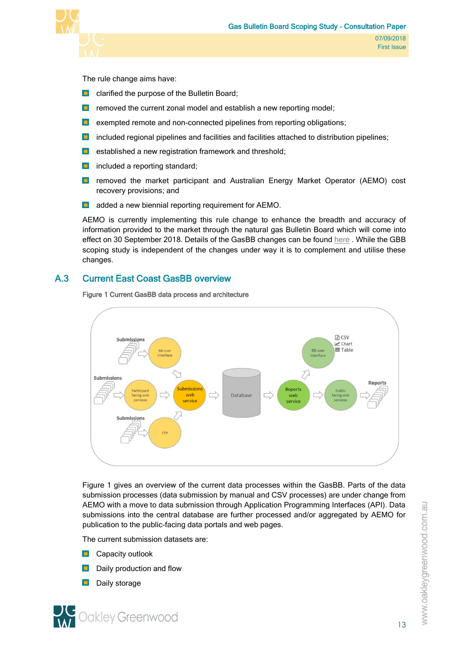

The rule change aims have:

- $\Box$  clarified the purpose of the Bulletin Board;
- **F** removed the current zonal model and establish a new reporting model;
- $\blacksquare$  exempted remote and non-connected pipelines from reporting obligations;
- $\blacksquare$  included regional pipelines and facilities and facilities attached to distribution pipelines;
- $\blacksquare$ established a new registration framework and threshold;
- $\blacksquare$  included a reporting standard;
- **D** removed the market participant and Australian Energy Market Operator (AEMO) cost recovery provisions; and
- **added a new biennial reporting requirement for AEMO.**

AEMO is currently implementing this rule change to enhance the breadth and accuracy of information provided to the market through the natural gas Bulletin Board which will come into effect on 30 September 2018. Details of the GasBB changes can be found [here](http://www.gasbb.com.au/Bulletin%20Board%20Information/2018%20Rule%20Change%20Information.aspx) . While the GBB scoping study is independent of the changes under way it is to complement and utilise these changes.

### A.3 Current East Coast GasBB overview

<span id="page-14-1"></span><span id="page-14-0"></span>Figure 1 Current GasBB data process and architecture



[Figure 1](#page-14-1) gives an overview of the current data processes within the GasBB. Parts of the data submission processes (data submission by manual and CSV processes) are under change from AEMO with a move to data submission through Application Programming Interfaces (API). Data submissions into the central database are further processed and/or aggregated by AEMO for publication to the public-facing data portals and web pages.

The current submission datasets are:

- **D** Capacity outlook
- $\Box$  Daily production and flow
- Daily storage

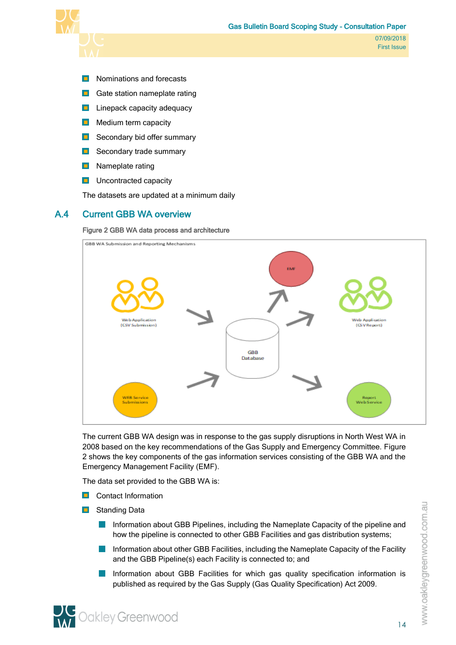

- **Nominations and forecasts**
- **Gate station nameplate rating**
- **Linepack capacity adequacy**
- $\blacksquare$  Medium term capacity
- Secondary bid offer summary
- **B** Secondary trade summary
- **D** Nameplate rating
- **Uncontracted capacity**

<span id="page-15-0"></span>The datasets are updated at a minimum daily

#### A.4 Current GBB WA overview

#### <span id="page-15-1"></span>Figure 2 GBB WA data process and architecture



The current GBB WA design was in response to the gas supply disruptions in North West WA in 2008 based on the key recommendations of the Gas Supply and Emergency Committee. [Figure](#page-15-1)  [2](#page-15-1) shows the key components of the gas information services consisting of the GBB WA and the Emergency Management Facility (EMF).

The data set provided to the GBB WA is:

- **Contact Information**
- **B** Standing Data
	- $\mathcal{L}_{\mathcal{A}}$ Information about GBB Pipelines, including the Nameplate Capacity of the pipeline and how the pipeline is connected to other GBB Facilities and gas distribution systems;
	- Information about other GBB Facilities, including the Nameplate Capacity of the Facility  $\mathcal{L}^{\text{max}}$ and the GBB Pipeline(s) each Facility is connected to; and
	- $\sim$ Information about GBB Facilities for which gas quality specification information is published as required by the Gas Supply (Gas Quality Specification) Act 2009.